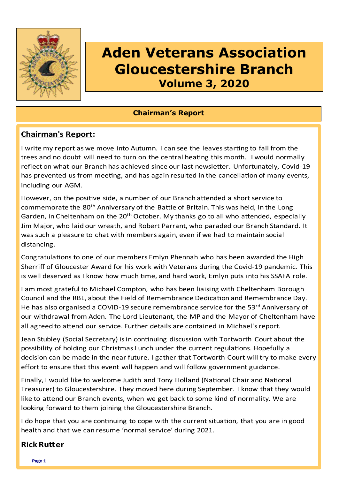

# **Aden Veterans Association Gloucestershire Branch Volume 3, 2020**

## **Chairman's Report**

# **Chairman's Report:**

I write my report as we move into Autumn. I can see the leaves starting to fall from the trees and no doubt will need to turn on the central heating this month. I would normally reflect on what our Branch has achieved since our last newsletter. Unfortunately, Covid-19 has prevented us from meeting, and has again resulted in the cancellation of many events, including our AGM.

However, on the positive side, a number of our Branch attended a short service to commemorate the 80<sup>th</sup> Anniversary of the Battle of Britain. This was held, in the Long Garden, in Cheltenham on the 20<sup>th</sup> October. My thanks go to all who attended, especially Jim Major, who laid our wreath, and Robert Parrant, who paraded our Branch Standard. It was such a pleasure to chat with members again, even if we had to maintain social distancing.

Congratulations to one of our members Emlyn Phennah who has been awarded the High Sherriff of Gloucester Award for his work with Veterans during the Covid-19 pandemic. This is well deserved as I know how much time, and hard work, Emlyn puts into his SSAFA role.

I am most grateful to Michael Compton, who has been liaising with Cheltenham Borough Council and the RBL, about the Field of Remembrance Dedication and Remembrance Day. He has also organised a COVID-19 secure remembrance service for the 53<sup>rd</sup> Anniversary of our withdrawal from Aden. The Lord Lieutenant, the MP and the Mayor of Cheltenham have all agreed to attend our service. Further details are contained in Michael's report.

Jean Stubley (Social Secretary) is in continuing discussion with Tortworth Court about the possibility of holding our Christmas Lunch under the current regulations. Hopefully a decision can be made in the near future. I gather that Tortworth Court will try to make every effort to ensure that this event will happen and will follow government guidance.

Finally, I would like to welcome Judith and Tony Holland (National Chair and National Treasurer) to Gloucestershire. They moved here during September. I know that they would like to attend our Branch events, when we get back to some kind of normality. We are looking forward to them joining the Gloucestershire Branch.

I do hope that you are continuing to cope with the current situation, that you are in good health and that we can resume 'normal service' during 2021.

# **Rick Rutter**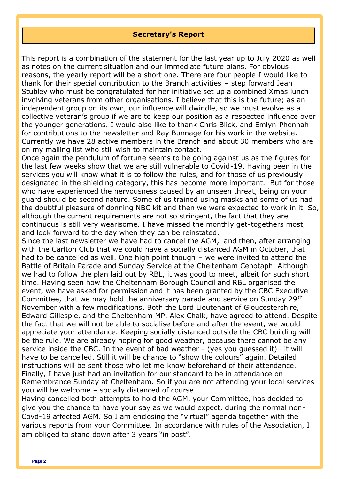#### **Secretary's Report**

This report is a combination of the statement for the last year up to July 2020 as well as notes on the current situation and our immediate future plans. For obvious reasons, the yearly report will be a short one. There are four people I would like to thank for their special contribution to the Branch activities – step forward Jean Stubley who must be congratulated for her initiative set up a combined Xmas lunch involving veterans from other organisations. I believe that this is the future; as an independent group on its own, our influence will dwindle, so we must evolve as a collective veteran's group if we are to keep our position as a respected influence over the younger generations. I would also like to thank Chris Blick, and Emlyn Phennah for contributions to the newsletter and Ray Bunnage for his work in the website. Currently we have 28 active members in the Branch and about 30 members who are on my mailing list who still wish to maintain contact.

Once again the pendulum of fortune seems to be going against us as the figures for the last few weeks show that we are still vulnerable to Covid-19. Having been in the services you will know what it is to follow the rules, and for those of us previously designated in the shielding category, this has become more important. But for those who have experienced the nervousness caused by an unseen threat, being on your guard should be second nature. Some of us trained using masks and some of us had the doubtful pleasure of donning NBC kit and then we were expected to work in it! So, although the current requirements are not so stringent, the fact that they are continuous is still very wearisome. I have missed the monthly get-togethers most, and look forward to the day when they can be reinstated.

Since the last newsletter we have had to cancel the AGM, and then, after arranging with the Carlton Club that we could have a socially distanced AGM in October, that had to be cancelled as well. One high point though – we were invited to attend the Battle of Britain Parade and Sunday Service at the Cheltenham Cenotaph. Although we had to follow the plan laid out by RBL, it was good to meet, albeit for such short time. Having seen how the Cheltenham Borough Council and RBL organised the event, we have asked for permission and it has been granted by the CBC Executive Committee, that we may hold the anniversary parade and service on Sunday 29<sup>th</sup> November with a few modifications. Both the Lord Lieutenant of Gloucestershire, Edward Gillespie, and the Cheltenham MP, Alex Chalk, have agreed to attend. Despite the fact that we will not be able to socialise before and after the event, we would appreciate your attendance. Keeping socially distanced outside the CBC building will be the rule. We are already hoping for good weather, because there cannot be any service inside the CBC. In the event of bad weather - (yes you guessed it)– it will have to be cancelled. Still it will be chance to "show the colours" again. Detailed instructions will be sent those who let me know beforehand of their attendance. Finally, I have just had an invitation for our standard to be in attendance on Remembrance Sunday at Cheltenham. So if you are not attending your local services you will be welcome – socially distanced of course.

Having cancelled both attempts to hold the AGM, your Committee, has decided to give you the chance to have your say as we would expect, during the normal non-Covd-19 affected AGM. So I am enclosing the "virtual" agenda together with the various reports from your Committee. In accordance with rules of the Association, I am obliged to stand down after 3 years "in post".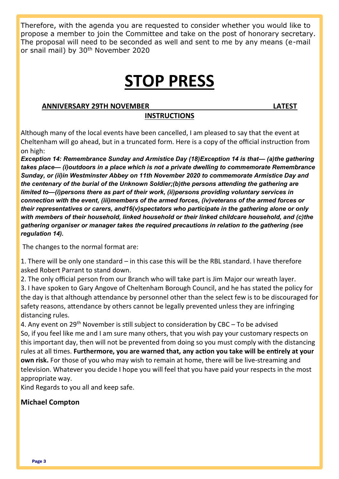Therefore, with the agenda you are requested to consider whether you would like to propose a member to join the Committee and take on the post of honorary secretary. The proposal will need to be seconded as well and sent to me by any means (e-mail or snail mail) by 30th November 2020

# **STOP PRESS**

#### **ANNIVERSARY 29TH NOVEMBER LATEST**

#### **INSTRUCTIONS**

Although many of the local events have been cancelled, I am pleased to say that the event at Cheltenham will go ahead, but in a truncated form. Here is a copy of the official instruction from on high:

*Exception 14: Remembrance Sunday and Armistice Day (18)Exception 14 is that— (a)the gathering takes place— (i)outdoors in a place which is not a private dwelling to commemorate Remembrance Sunday, or (ii)in Westminster Abbey on 11th November 2020 to commemorate Armistice Day and the centenary of the burial of the Unknown Soldier;(b)the persons attending the gathering are limited to—(i)persons there as part of their work, (ii)persons providing voluntary services in connection with the event, (iii)members of the armed forces, (iv)veterans of the armed forces or their representatives or carers, and16(v)spectators who participate in the gathering alone or only with members of their household, linked household or their linked childcare household, and (c)the gathering organiser or manager takes the required precautions in relation to the gathering (see regulation 14).*

The changes to the normal format are:

1. There will be only one standard – in this case this will be the RBL standard. I have therefore asked Robert Parrant to stand down.

2. The only official person from our Branch who will take part is Jim Major our wreath layer.

3. I have spoken to Gary Angove of Cheltenham Borough Council, and he has stated the policy for the day is that although attendance by personnel other than the select few is to be discouraged for safety reasons, attendance by others cannot be legally prevented unless they are infringing distancing rules.

4. Any event on  $29<sup>th</sup>$  November is still subject to consideration by CBC – To be advised So, if you feel like me and I am sure many others, that you wish pay your customary respects on this important day, then will not be prevented from doing so you must comply with the distancing rules at all times. **Furthermore, you are warned that, any action you take will be entirely at your own risk.** For those of you who may wish to remain at home, there will be live-streaming and television. Whatever you decide I hope you will feel that you have paid your respects in the most appropriate way.

Kind Regards to you all and keep safe.

#### **Michael Compton**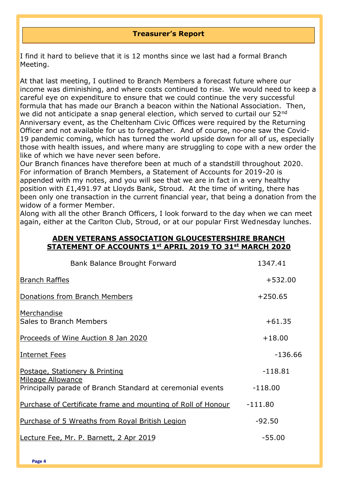#### **Treasurer's Report**

I find it hard to believe that it is 12 months since we last had a formal Branch Meeting.

At that last meeting, I outlined to Branch Members a forecast future where our income was diminishing, and where costs continued to rise. We would need to keep a careful eye on expenditure to ensure that we could continue the very successful formula that has made our Branch a beacon within the National Association. Then, we did not anticipate a snap general election, which served to curtail our 52<sup>nd</sup> Anniversary event, as the Cheltenham Civic Offices were required by the Returning Officer and not available for us to foregather. And of course, no-one saw the Covid-19 pandemic coming, which has turned the world upside down for all of us, especially those with health issues, and where many are struggling to cope with a new order the like of which we have never seen before.

Our Branch finances have therefore been at much of a standstill throughout 2020. For information of Branch Members, a Statement of Accounts for 2019-20 is appended with my notes, and you will see that we are in fact in a very healthy position with £1,491.97 at Lloyds Bank, Stroud. At the time of writing, there has been only one transaction in the current financial year, that being a donation from the widow of a former Member.

Along with all the other Branch Officers, I look forward to the day when we can meet again, either at the Carlton Club, Stroud, or at our popular First Wednesday lunches.

#### **ADEN VETERANS ASSOCIATION GLOUCESTERSHIRE BRANCH STATEMENT OF ACCOUNTS 1st APRIL 2019 TO 31st MARCH 2020**

| Bank Balance Brought Forward                                 | 1347.41   |
|--------------------------------------------------------------|-----------|
| <b>Branch Raffles</b>                                        | $+532.00$ |
| Donations from Branch Members                                | $+250.65$ |
| Merchandise<br><b>Sales to Branch Members</b>                | $+61.35$  |
| Proceeds of Wine Auction 8 Jan 2020                          | $+18.00$  |
| Internet Fees                                                | $-136.66$ |
| Postage, Stationery & Printing<br>Mileage Allowance          | $-118.81$ |
| Principally parade of Branch Standard at ceremonial events   | $-118.00$ |
| Purchase of Certificate frame and mounting of Roll of Honour | $-111.80$ |
| Purchase of 5 Wreaths from Royal British Legion              | $-92.50$  |
| Lecture Fee, Mr. P. Barnett, 2 Apr 2019                      | $-55.00$  |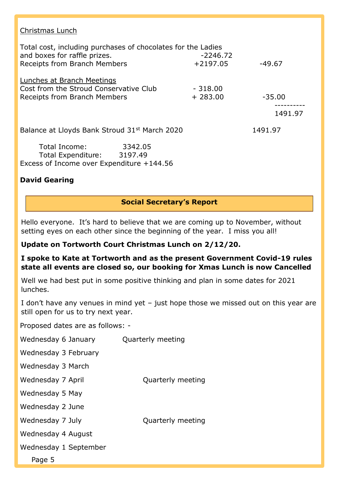#### Christmas Lunch

| Total cost, including purchases of chocolates for the Ladies<br>and boxes for raffle prizes.                | $-2246.72$             |          |
|-------------------------------------------------------------------------------------------------------------|------------------------|----------|
| Receipts from Branch Members                                                                                | $+2197.05$             | $-49.67$ |
| <b>Lunches at Branch Meetings</b><br>Cost from the Stroud Conservative Club<br>Receipts from Branch Members | $-318,00$<br>$+283.00$ | $-35.00$ |
|                                                                                                             |                        | 1491.97  |
| Balance at Lloyds Bank Stroud 31 <sup>st</sup> March 2020                                                   |                        | 1491.97  |
| Total Income:<br>3342.05<br>Total Expenditure: 3197.49<br>Excess of Income over Expenditure +144.56         |                        |          |
| <b>David Gearing</b>                                                                                        |                        |          |

# **Social Secretary's Report**

Hello everyone. It's hard to believe that we are coming up to November, without setting eyes on each other since the beginning of the year. I miss you all!

# **Update on Tortworth Court Christmas Lunch on 2/12/20.**

### **I spoke to Kate at Tortworth and as the present Government Covid-19 rules state all events are closed so, our booking for Xmas Lunch is now Cancelled**

Well we had best put in some positive thinking and plan in some dates for 2021 lunches.

I don't have any venues in mind yet – just hope those we missed out on this year are still open for us to try next year.

Proposed dates are as follows: -

| Wednesday 6 January   | Quarterly meeting |
|-----------------------|-------------------|
| Wednesday 3 February  |                   |
| Wednesday 3 March     |                   |
| Wednesday 7 April     | Quarterly meeting |
| Wednesday 5 May       |                   |
| Wednesday 2 June      |                   |
| Wednesday 7 July      | Quarterly meeting |
| Wednesday 4 August    |                   |
| Wednesday 1 September |                   |
| Page 5                |                   |